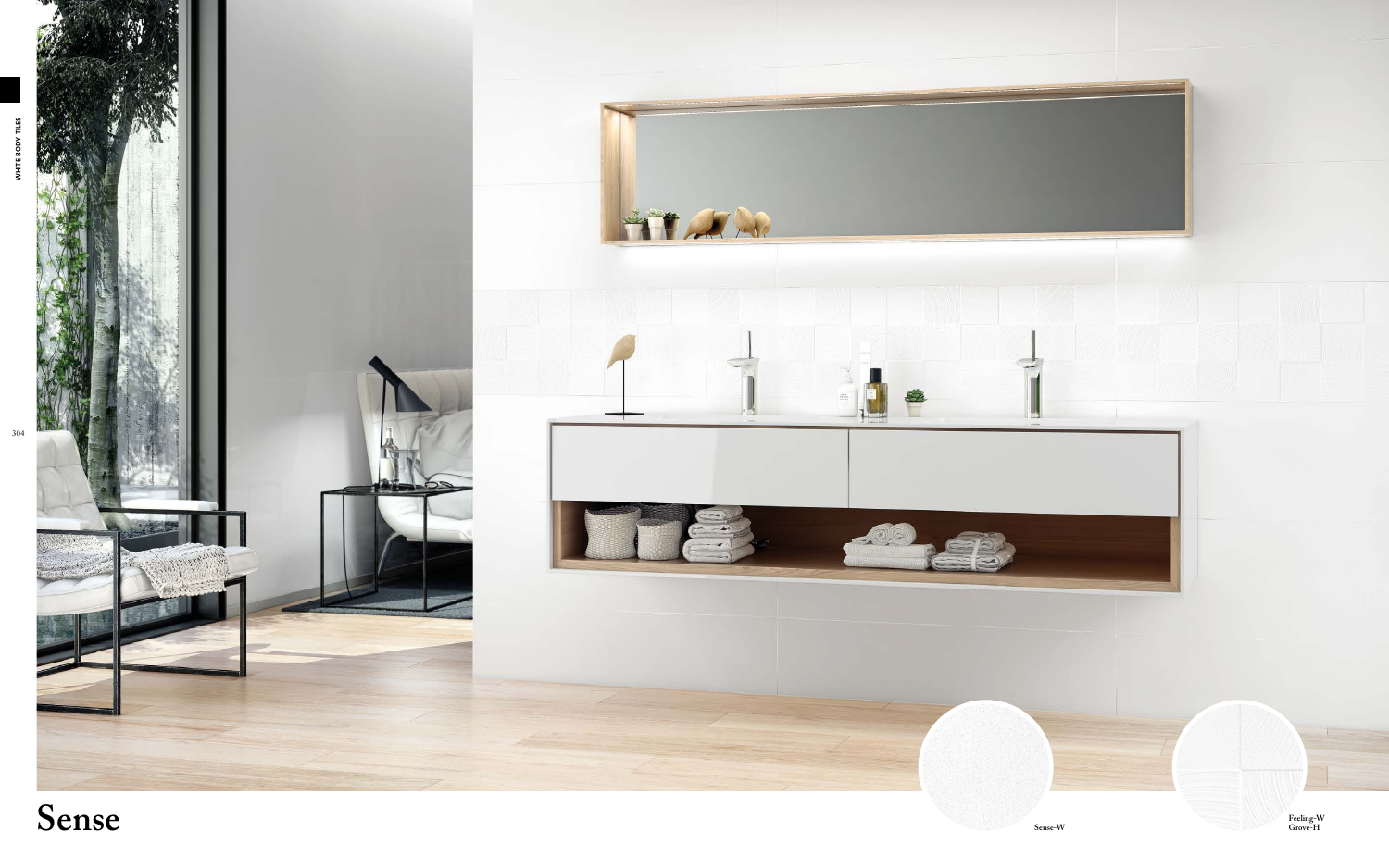